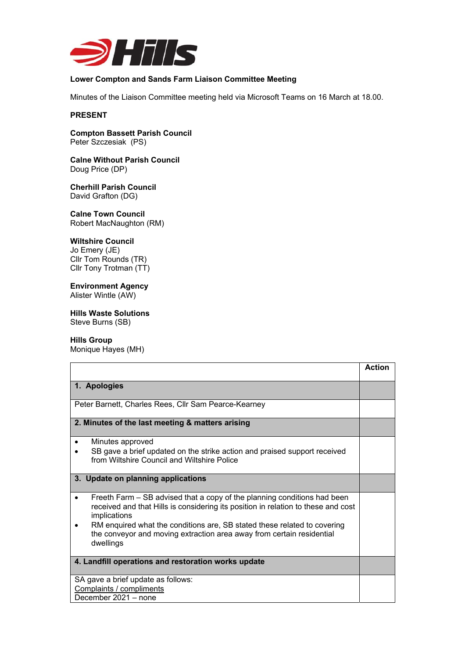

# **Lower Compton and Sands Farm Liaison Committee Meeting**

Minutes of the Liaison Committee meeting held via Microsoft Teams on 16 March at 18.00.

#### **PRESENT**

**Compton Bassett Parish Council**  Peter Szczesiak (PS)

**Calne Without Parish Council**  Doug Price (DP)

**Cherhill Parish Council**  David Grafton (DG)

**Calne Town Council**  Robert MacNaughton (RM)

#### **Wiltshire Council**

Jo Emery (JE) Cllr Tom Rounds (TR) Cllr Tony Trotman (TT)

## **Environment Agency**

Alister Wintle (AW)

**Hills Waste Solutions** 

Steve Burns (SB)

#### **Hills Group**

Monique Hayes (MH)

|                                                                                                                                                                                                                                                                        | <b>Action</b> |
|------------------------------------------------------------------------------------------------------------------------------------------------------------------------------------------------------------------------------------------------------------------------|---------------|
| 1. Apologies                                                                                                                                                                                                                                                           |               |
| Peter Barnett, Charles Rees, Cllr Sam Pearce-Kearney                                                                                                                                                                                                                   |               |
| 2. Minutes of the last meeting & matters arising                                                                                                                                                                                                                       |               |
| Minutes approved<br>$\bullet$<br>SB gave a brief updated on the strike action and praised support received<br>from Wiltshire Council and Wiltshire Police                                                                                                              |               |
| 3. Update on planning applications                                                                                                                                                                                                                                     |               |
| Freeth Farm – SB advised that a copy of the planning conditions had been<br>$\bullet$<br>received and that Hills is considering its position in relation to these and cost<br>implications<br>RM enquired what the conditions are, SB stated these related to covering |               |
| the conveyor and moving extraction area away from certain residential<br>dwellings                                                                                                                                                                                     |               |
| 4. Landfill operations and restoration works update                                                                                                                                                                                                                    |               |
| SA gave a brief update as follows:                                                                                                                                                                                                                                     |               |
| Complaints / compliments<br>December 2021 - none                                                                                                                                                                                                                       |               |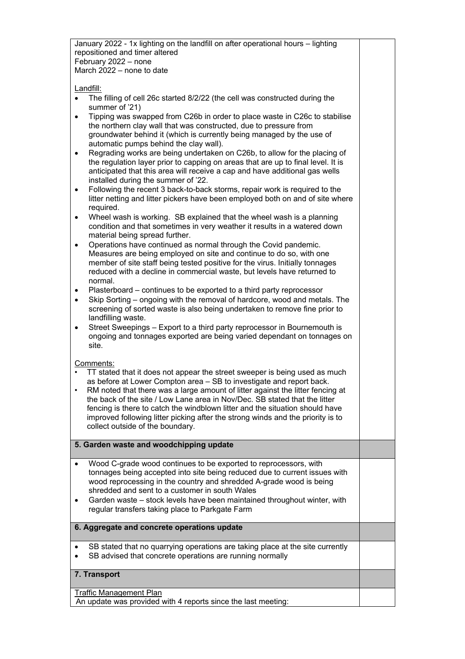January 2022 - 1x lighting on the landfill on after operational hours – lighting repositioned and timer altered February 2022 – none March 2022 – none to date

Landfill:

- The filling of cell 26c started 8/2/22 (the cell was constructed during the summer of '21)
- Tipping was swapped from C26b in order to place waste in C26c to stabilise the northern clay wall that was constructed, due to pressure from groundwater behind it (which is currently being managed by the use of automatic pumps behind the clay wall).
- Regrading works are being undertaken on C26b, to allow for the placing of the regulation layer prior to capping on areas that are up to final level. It is anticipated that this area will receive a cap and have additional gas wells installed during the summer of '22.
- Following the recent 3 back-to-back storms, repair work is required to the litter netting and litter pickers have been employed both on and of site where required.
- Wheel wash is working. SB explained that the wheel wash is a planning condition and that sometimes in very weather it results in a watered down material being spread further.
- Operations have continued as normal through the Covid pandemic. Measures are being employed on site and continue to do so, with one member of site staff being tested positive for the virus. Initially tonnages reduced with a decline in commercial waste, but levels have returned to normal.
- Plasterboard continues to be exported to a third party reprocessor
- Skip Sorting ongoing with the removal of hardcore, wood and metals. The screening of sorted waste is also being undertaken to remove fine prior to landfilling waste.
- Street Sweepings Export to a third party reprocessor in Bournemouth is ongoing and tonnages exported are being varied dependant on tonnages on site.

Comments:

- TT stated that it does not appear the street sweeper is being used as much as before at Lower Compton area – SB to investigate and report back.
- RM noted that there was a large amount of litter against the litter fencing at the back of the site / Low Lane area in Nov/Dec. SB stated that the litter fencing is there to catch the windblown litter and the situation should have improved following litter picking after the strong winds and the priority is to collect outside of the boundary.

**5. Garden waste and woodchipping update** 

- Wood C-grade wood continues to be exported to reprocessors, with tonnages being accepted into site being reduced due to current issues with wood reprocessing in the country and shredded A-grade wood is being shredded and sent to a customer in south Wales
- Garden waste stock levels have been maintained throughout winter, with regular transfers taking place to Parkgate Farm

## **6. Aggregate and concrete operations update**

- SB stated that no quarrying operations are taking place at the site currently
- SB advised that concrete operations are running normally

## **7. Transport**

Traffic Management Plan An update was provided with 4 reports since the last meeting: